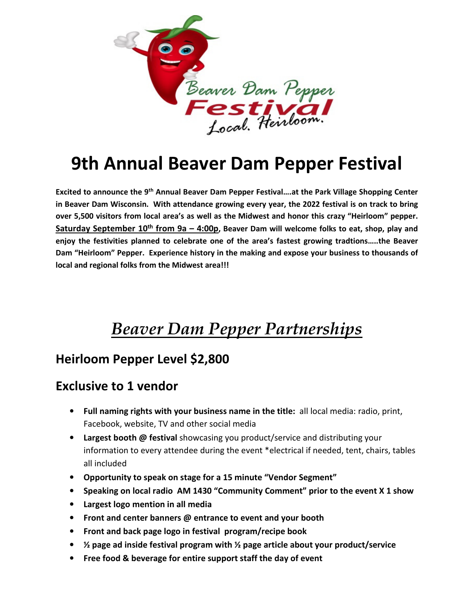

# 9th Annual Beaver Dam Pepper Festival

Excited to announce the 9th Annual Beaver Dam Pepper Festival….at the Park Village Shopping Center in Beaver Dam Wisconsin. With attendance growing every year, the 2022 festival is on track to bring over 5,500 visitors from local area's as well as the Midwest and honor this crazy "Heirloom" pepper. Saturday September  $10^{th}$  from  $9a - 4:00p$ , Beaver Dam will welcome folks to eat, shop, play and enjoy the festivities planned to celebrate one of the area's fastest growing tradtions…..the Beaver Dam "Heirloom" Pepper. Experience history in the making and expose your business to thousands of local and regional folks from the Midwest area!!!

# Beaver Dam Pepper Partnerships

## Heirloom Pepper Level \$2,800

#### Exclusive to 1 vendor

- Full naming rights with your business name in the title: all local media: radio, print, Facebook, website, TV and other social media
- Largest booth @ festival showcasing you product/service and distributing your information to every attendee during the event \*electrical if needed, tent, chairs, tables all included
- Opportunity to speak on stage for a 15 minute "Vendor Segment"
- Speaking on local radio AM 1430 "Community Comment" prior to the event X 1 show
- Largest logo mention in all media
- Front and center banners @ entrance to event and your booth
- Front and back page logo in festival program/recipe book
- $\frac{1}{2}$  page ad inside festival program with  $\frac{1}{2}$  page article about your product/service
- Free food & beverage for entire support staff the day of event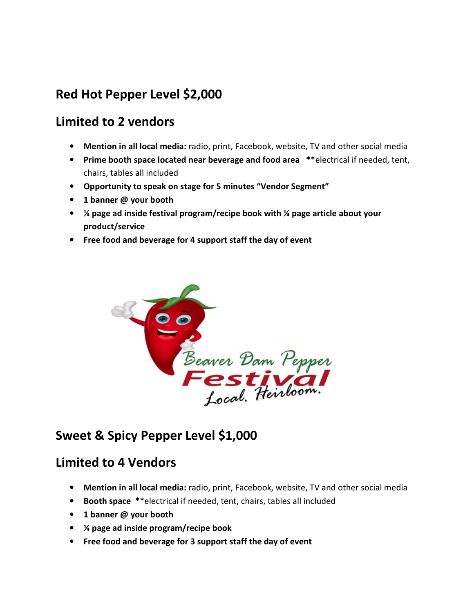## Red Hot Pepper Level \$2,000

#### Limited to 2 vendors

- Mention in all local media: radio, print, Facebook, website, TV and other social media
- Prime booth space located near beverage and food area \*\*electrical if needed, tent, chairs, tables all included
- Opportunity to speak on stage for 5 minutes "Vendor Segment"
- 1 banner @ your booth
- ¼ page ad inside festival program/recipe book with ¼ page article about your product/service
- Free food and beverage for 4 support staff the day of event



#### Sweet & Spicy Pepper Level \$1,000

#### Limited to 4 Vendors

- Mention in all local media: radio, print, Facebook, website, TV and other social media
- Booth space \*\*electrical if needed, tent, chairs, tables all included
- 1 banner @ your booth
- ¼ page ad inside program/recipe book
- Free food and beverage for 3 support staff the day of event